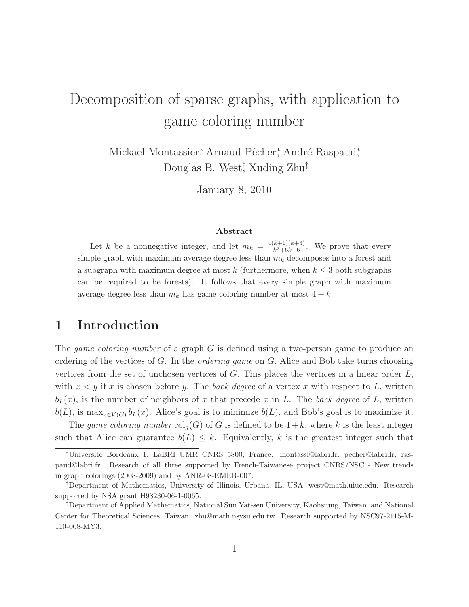# Decomposition of sparse graphs, with application to game coloring number

Mickael Montassier, Arnaud Pêcher, André Raspaud, Douglas B. West<sup>†</sup>, Xuding Zhu<sup>‡</sup>

January 8, 2010

#### Abstract

Let k be a nonnegative integer, and let  $m_k = \frac{4(k+1)(k+3)}{k^2+6k+6}$  $\frac{k+1}{k^2+6k+6}$ . We prove that every simple graph with maximum average degree less than  $m_k$  decomposes into a forest and a subgraph with maximum degree at most k (furthermore, when  $k \leq 3$  both subgraphs can be required to be forests). It follows that every simple graph with maximum average degree less than  $m_k$  has game coloring number at most  $4 + k$ .

# 1 Introduction

The game coloring number of a graph G is defined using a two-person game to produce an ordering of the vertices of G. In the *ordering game* on G, Alice and Bob take turns choosing vertices from the set of unchosen vertices of  $G$ . This places the vertices in a linear order  $L$ , with  $x \leq y$  if x is chosen before y. The back degree of a vertex x with respect to L, written  $b_L(x)$ , is the number of neighbors of x that precede x in L. The back degree of L, written  $b(L)$ , is max<sub>x∈V(G)</sub>  $b<sub>L</sub>(x)$ . Alice's goal is to minimize  $b(L)$ , and Bob's goal is to maximize it.

The game coloring number  $\text{col}_g(G)$  of G is defined to be  $1+k$ , where k is the least integer such that Alice can guarantee  $b(L) \leq k$ . Equivalently, k is the greatest integer such that

<sup>∗</sup>Universit´e Bordeaux 1, LaBRI UMR CNRS 5800, France: montassi@labri.fr, pecher@labri.fr, raspaud@labri.fr. Research of all three supported by French-Taiwanese project CNRS/NSC - New trends in graph colorings (2008-2009) and by ANR-08-EMER-007.

<sup>†</sup>Department of Mathematics, University of Illinois, Urbana, IL, USA: west@math.uiuc.edu. Research supported by NSA grant H98230-06-1-0065.

<sup>‡</sup>Department of Applied Mathematics, National Sun Yat-sen University, Kaohsiung, Taiwan, and National Center for Theoretical Sciences, Taiwan: zhu@math.nsysu.edu.tw. Research supported by NSC97-2115-M-110-008-MY3.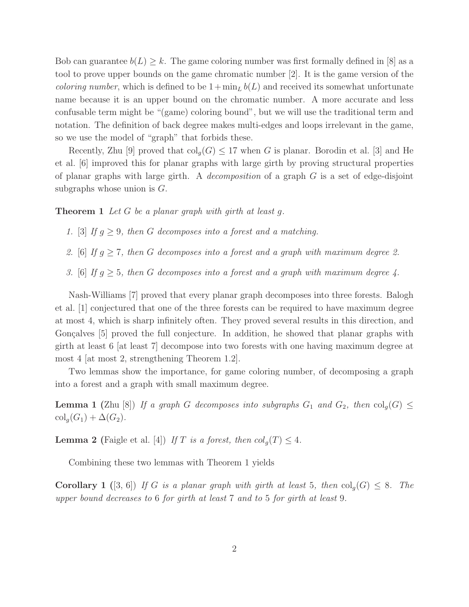Bob can guarantee  $b(L) \geq k$ . The game coloring number was first formally defined in [8] as a tool to prove upper bounds on the game chromatic number [2]. It is the game version of the *coloring number*, which is defined to be  $1+\min_L b(L)$  and received its somewhat unfortunate name because it is an upper bound on the chromatic number. A more accurate and less confusable term might be "(game) coloring bound", but we will use the traditional term and notation. The definition of back degree makes multi-edges and loops irrelevant in the game, so we use the model of "graph" that forbids these.

Recently, Zhu [9] proved that  $\text{col}_q(G) \leq 17$  when G is planar. Borodin et al. [3] and He et al. [6] improved this for planar graphs with large girth by proving structural properties of planar graphs with large girth. A *decomposition* of a graph  $G$  is a set of edge-disjoint subgraphs whose union is  $G$ .

**Theorem 1** Let G be a planar graph with girth at least  $q$ .

- 1. [3] If  $g \geq 9$ , then G decomposes into a forest and a matching.
- 2. [6] If  $g \ge 7$ , then G decomposes into a forest and a graph with maximum degree 2.
- 3. [6] If  $g \geq 5$ , then G decomposes into a forest and a graph with maximum degree 4.

Nash-Williams [7] proved that every planar graph decomposes into three forests. Balogh et al. [1] conjectured that one of the three forests can be required to have maximum degree at most 4, which is sharp infinitely often. They proved several results in this direction, and Gonçalves [5] proved the full conjecture. In addition, he showed that planar graphs with girth at least 6 [at least 7] decompose into two forests with one having maximum degree at most 4 [at most 2, strengthening Theorem 1.2].

Two lemmas show the importance, for game coloring number, of decomposing a graph into a forest and a graph with small maximum degree.

**Lemma 1** (Zhu [8]) If a graph G decomposes into subgraphs  $G_1$  and  $G_2$ , then  $col_q(G) \leq$  $\operatorname{col}_g(G_1) + \Delta(G_2).$ 

**Lemma 2** (Faigle et al. [4]) If T is a forest, then  $col_q(T) \leq 4$ .

Combining these two lemmas with Theorem 1 yields

**Corollary 1** ([3, 6]) If G is a planar graph with girth at least 5, then  $col_q(G) \leq 8$ . The upper bound decreases to 6 for girth at least 7 and to 5 for girth at least 9.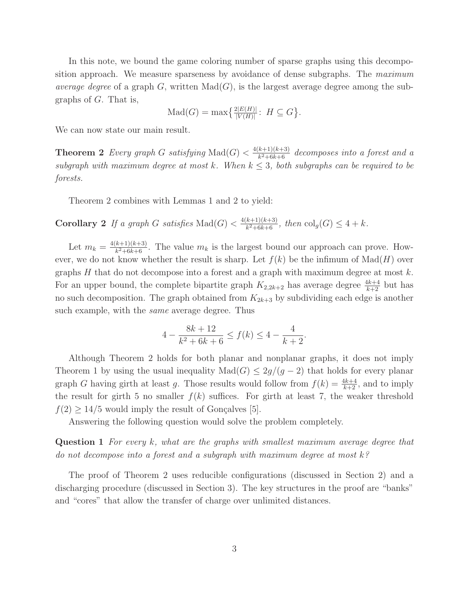In this note, we bound the game coloring number of sparse graphs using this decomposition approach. We measure sparseness by avoidance of dense subgraphs. The maximum average degree of a graph G, written  $\text{Mad}(G)$ , is the largest average degree among the subgraphs of G. That is,

$$
\text{Mad}(G) = \max\left\{\frac{2|E(H)|}{|V(H)|} : H \subseteq G\right\}.
$$

We can now state our main result.

**Theorem 2** Every graph G satisfying  $\text{Mad}(G) < \frac{4(k+1)(k+3)}{k^2+6k+6}$  $\frac{k+1(k+3)}{k^2+6k+6}$  decomposes into a forest and a subgraph with maximum degree at most k. When  $k \leq 3$ , both subgraphs can be required to be forests.

Theorem 2 combines with Lemmas 1 and 2 to yield:

**Corollary 2** If a graph G satisfies Mad $(G) < \frac{4(k+1)(k+3)}{k^2+6k+6}$  $\frac{k+1(k+3)}{k^2+6k+6}$ , then  $\text{col}_g(G) \leq 4+k$ .

Let  $m_k = \frac{4(k+1)(k+3)}{k^2+6k+6}$  $\frac{k+1}{k^2+6k+6}$ . The value  $m_k$  is the largest bound our approach can prove. However, we do not know whether the result is sharp. Let  $f(k)$  be the infimum of  $\text{Mad}(H)$  over graphs  $H$  that do not decompose into a forest and a graph with maximum degree at most  $k$ . For an upper bound, the complete bipartite graph  $K_{2,2k+2}$  has average degree  $\frac{4k+4}{k+2}$  but has no such decomposition. The graph obtained from  $K_{2k+3}$  by subdividing each edge is another such example, with the same average degree. Thus

$$
4 - \frac{8k + 12}{k^2 + 6k + 6} \le f(k) \le 4 - \frac{4}{k + 2}.
$$

Although Theorem 2 holds for both planar and nonplanar graphs, it does not imply Theorem 1 by using the usual inequality  $\text{Mad}(G) \leq 2g/(g-2)$  that holds for every planar graph G having girth at least g. Those results would follow from  $f(k) = \frac{4k+4}{k+2}$ , and to imply the result for girth 5 no smaller  $f(k)$  suffices. For girth at least 7, the weaker threshold  $f(2) \geq 14/5$  would imply the result of Gonçalves [5].

Answering the following question would solve the problem completely.

Question 1 For every k, what are the graphs with smallest maximum average degree that do not decompose into a forest and a subgraph with maximum degree at most  $k$ ?

The proof of Theorem 2 uses reducible configurations (discussed in Section 2) and a discharging procedure (discussed in Section 3). The key structures in the proof are "banks" and "cores" that allow the transfer of charge over unlimited distances.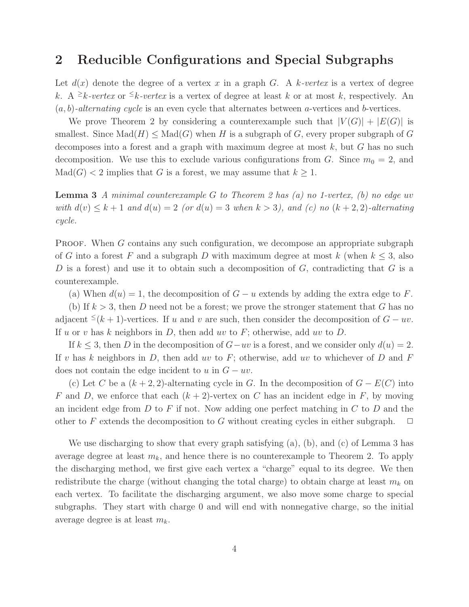#### 2 Reducible Configurations and Special Subgraphs

Let  $d(x)$  denote the degree of a vertex x in a graph G. A k-vertex is a vertex of degree k. A <sup>2</sup>k-vertex or <sup>2</sup>k-vertex is a vertex of degree at least k or at most k, respectively. An  $(a, b)$ -alternating cycle is an even cycle that alternates between a-vertices and b-vertices.

We prove Theorem 2 by considering a counterexample such that  $|V(G)| + |E(G)|$  is smallest. Since  $\text{Mad}(H) \leq \text{Mad}(G)$  when H is a subgraph of G, every proper subgraph of G decomposes into a forest and a graph with maximum degree at most  $k$ , but  $G$  has no such decomposition. We use this to exclude various configurations from G. Since  $m_0 = 2$ , and  $\text{Mad}(G) < 2$  implies that G is a forest, we may assume that  $k \geq 1$ .

**Lemma 3** A minimal counterexample G to Theorem 2 has (a) no 1-vertex, (b) no edge uv with  $d(v) \leq k+1$  and  $d(u) = 2$  (or  $d(u) = 3$  when  $k > 3$ ), and (c) no  $(k+2, 2)$ -alternating cycle.

PROOF. When G contains any such configuration, we decompose an appropriate subgraph of G into a forest F and a subgraph D with maximum degree at most k (when  $k \leq 3$ , also D is a forest) and use it to obtain such a decomposition of  $G$ , contradicting that  $G$  is a counterexample.

(a) When  $d(u) = 1$ , the decomposition of  $G - u$  extends by adding the extra edge to F.

(b) If  $k > 3$ , then D need not be a forest; we prove the stronger statement that G has no adjacent <sup>≤</sup>(k + 1)-vertices. If u and v are such, then consider the decomposition of  $G - uv$ . If u or v has k neighbors in  $D$ , then add uv to  $F$ ; otherwise, add uv to  $D$ .

If  $k \leq 3$ , then D in the decomposition of  $G-uv$  is a forest, and we consider only  $d(u) = 2$ . If v has k neighbors in  $D$ , then add uv to  $F$ ; otherwise, add uv to whichever of  $D$  and  $F$ does not contain the edge incident to u in  $G - uv$ .

(c) Let C be a  $(k+2, 2)$ -alternating cycle in G. In the decomposition of  $G - E(C)$  into F and D, we enforce that each  $(k + 2)$ -vertex on C has an incident edge in F, by moving an incident edge from  $D$  to  $F$  if not. Now adding one perfect matching in  $C$  to  $D$  and the other to F extends the decomposition to G without creating cycles in either subgraph.  $\Box$ 

We use discharging to show that every graph satisfying  $(a)$ ,  $(b)$ , and  $(c)$  of Lemma 3 has average degree at least  $m_k$ , and hence there is no counterexample to Theorem 2. To apply the discharging method, we first give each vertex a "charge" equal to its degree. We then redistribute the charge (without changing the total charge) to obtain charge at least  $m_k$  on each vertex. To facilitate the discharging argument, we also move some charge to special subgraphs. They start with charge 0 and will end with nonnegative charge, so the initial average degree is at least  $m_k$ .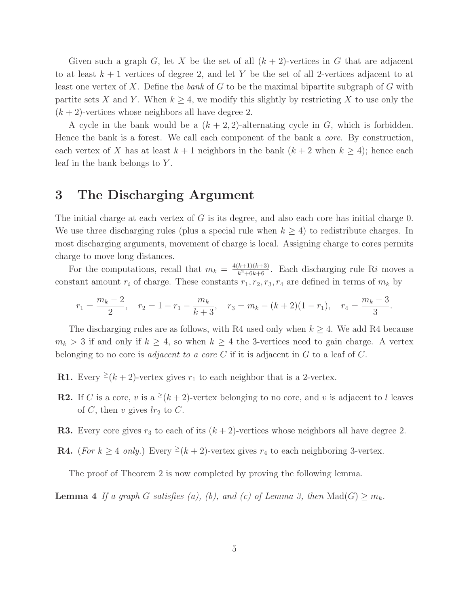Given such a graph G, let X be the set of all  $(k+2)$ -vertices in G that are adjacent to at least  $k+1$  vertices of degree 2, and let Y be the set of all 2-vertices adjacent to at least one vertex of X. Define the bank of G to be the maximal bipartite subgraph of G with partite sets X and Y. When  $k \geq 4$ , we modify this slightly by restricting X to use only the  $(k+2)$ -vertices whose neighbors all have degree 2.

A cycle in the bank would be a  $(k+2, 2)$ -alternating cycle in G, which is forbidden. Hence the bank is a forest. We call each component of the bank a *core*. By construction, each vertex of X has at least  $k + 1$  neighbors in the bank  $(k + 2$  when  $k \ge 4)$ ; hence each leaf in the bank belongs to Y .

### 3 The Discharging Argument

The initial charge at each vertex of  $G$  is its degree, and also each core has initial charge 0. We use three discharging rules (plus a special rule when  $k \geq 4$ ) to redistribute charges. In most discharging arguments, movement of charge is local. Assigning charge to cores permits charge to move long distances.

For the computations, recall that  $m_k = \frac{4(k+1)(k+3)}{k^2+6k+6}$  $\frac{k+1}{k^2+6k+6}$ . Each discharging rule Ri moves a constant amount  $r_i$  of charge. These constants  $r_1, r_2, r_3, r_4$  are defined in terms of  $m_k$  by

$$
r_1 = \frac{m_k - 2}{2}
$$
,  $r_2 = 1 - r_1 - \frac{m_k}{k+3}$ ,  $r_3 = m_k - (k+2)(1-r_1)$ ,  $r_4 = \frac{m_k - 3}{3}$ .

The discharging rules are as follows, with R4 used only when  $k \geq 4$ . We add R4 because  $m_k > 3$  if and only if  $k \geq 4$ , so when  $k \geq 4$  the 3-vertices need to gain charge. A vertex belonging to no core is *adjacent to a core*  $C$  if it is adjacent in  $G$  to a leaf of  $C$ .

- **R1.** Every  $\geq (k+2)$ -vertex gives  $r_1$  to each neighbor that is a 2-vertex.
- **R2.** If C is a core, v is a <sup>2</sup>( $k+2$ )-vertex belonging to no core, and v is adjacent to l leaves of C, then v gives  $lr_2$  to C.
- **R3.** Every core gives  $r_3$  to each of its  $(k + 2)$ -vertices whose neighbors all have degree 2.
- **R4.** (For  $k \geq 4$  only.) Every  $\geq (k+2)$ -vertex gives  $r_4$  to each neighboring 3-vertex.

The proof of Theorem 2 is now completed by proving the following lemma.

**Lemma 4** If a graph G satisfies (a), (b), and (c) of Lemma 3, then  $\text{Mad}(G) \geq m_k$ .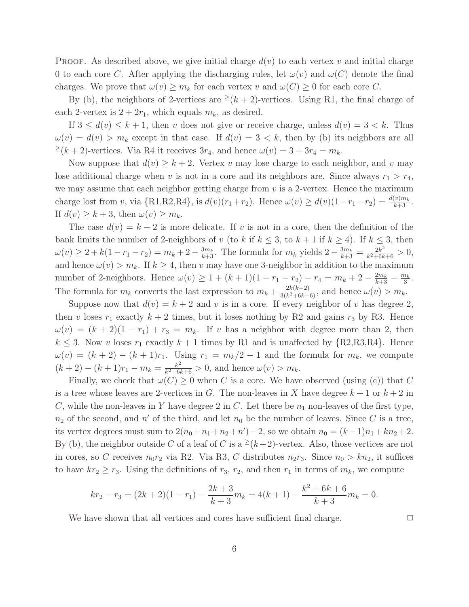**PROOF.** As described above, we give initial charge  $d(v)$  to each vertex v and initial charge 0 to each core C. After applying the discharging rules, let  $\omega(v)$  and  $\omega(C)$  denote the final charges. We prove that  $\omega(v) \geq m_k$  for each vertex v and  $\omega(C) \geq 0$  for each core C.

By (b), the neighbors of 2-vertices are  $\geq (k+2)$ -vertices. Using R1, the final charge of each 2-vertex is  $2 + 2r_1$ , which equals  $m_k$ , as desired.

If  $3 \leq d(v) \leq k+1$ , then v does not give or receive charge, unless  $d(v) = 3 < k$ . Thus  $\omega(v) = d(v) > m_k$  except in that case. If  $d(v) = 3 < k$ , then by (b) its neighbors are all  $\geq (k+2)$ -vertices. Via R4 it receives  $3r_4$ , and hence  $\omega(v) = 3 + 3r_4 = m_k$ .

Now suppose that  $d(v) \geq k+2$ . Vertex v may lose charge to each neighbor, and v may lose additional charge when v is not in a core and its neighbors are. Since always  $r_1 > r_4$ , we may assume that each neighbor getting charge from  $v$  is a 2-vertex. Hence the maximum charge lost from v, via  $\{R1, R2, R4\}$ , is  $d(v)(r_1 + r_2)$ . Hence  $\omega(v) \geq d(v)(1 - r_1 - r_2) = \frac{d(v)m_k}{k+3}$ . If  $d(v) \geq k+3$ , then  $\omega(v) \geq m_k$ .

The case  $d(v) = k + 2$  is more delicate. If v is not in a core, then the definition of the bank limits the number of 2-neighbors of v (to k if  $k \leq 3$ , to  $k + 1$  if  $k \geq 4$ ). If  $k \leq 3$ , then  $\omega(v) \geq 2 + k(1 - r_1 - r_2) = m_k + 2 - \frac{3m_k}{k+3}$ . The formula for  $m_k$  yields  $2 - \frac{3m_k}{k+3} = \frac{2k^2}{k^2+6k}$  $\frac{2k^2}{k^2+6k+6} > 0,$ and hence  $\omega(v) > m_k$ . If  $k \geq 4$ , then v may have one 3-neighbor in addition to the maximum number of 2-neighbors. Hence  $\omega(v) \geq 1 + (k+1)(1 - r_1 - r_2) - r_4 = m_k + 2 - \frac{2m_k}{k+3} - \frac{m_k}{3}$  $\frac{n_k}{3}$ . The formula for  $m_k$  converts the last expression to  $m_k + \frac{2k(k-2)}{3(k^2+6k+1)}$  $\frac{2\kappa(\kappa-2)}{3(k^2+6k+6)}$ , and hence  $\omega(v) > m_k$ .

Suppose now that  $d(v) = k + 2$  and v is in a core. If every neighbor of v has degree 2, then v loses  $r_1$  exactly  $k + 2$  times, but it loses nothing by R2 and gains  $r_3$  by R3. Hence  $\omega(v) = (k+2)(1-r_1) + r_3 = m_k$ . If v has a neighbor with degree more than 2, then  $k \leq 3$ . Now v loses  $r_1$  exactly  $k+1$  times by R1 and is unaffected by  $\{R2, R3, R4\}$ . Hence  $\omega(v) = (k+2) - (k+1)r_1$ . Using  $r_1 = m_k/2 - 1$  and the formula for  $m_k$ , we compute  $(k+2)-(k+1)r_1-m_k=\frac{k^2}{k^2+6k^2}$  $\frac{k^2}{k^2+6k+6} > 0$ , and hence  $\omega(v) > m_k$ .

Finally, we check that  $\omega(C) \geq 0$  when C is a core. We have observed (using (c)) that C is a tree whose leaves are 2-vertices in G. The non-leaves in X have degree  $k+1$  or  $k+2$  in C, while the non-leaves in Y have degree 2 in C. Let there be  $n_1$  non-leaves of the first type,  $n_2$  of the second, and  $n'$  of the third, and let  $n_0$  be the number of leaves. Since C is a tree, its vertex degrees must sum to  $2(n_0 + n_1 + n_2 + n') - 2$ , so we obtain  $n_0 = (k-1)n_1 + kn_2 + 2$ . By (b), the neighbor outside C of a leaf of C is a  $\geq (k+2)$ -vertex. Also, those vertices are not in cores, so C receives  $n_0r_2$  via R2. Via R3, C distributes  $n_2r_3$ . Since  $n_0 > kn_2$ , it suffices to have  $kr_2 \ge r_3$ . Using the definitions of  $r_3$ ,  $r_2$ , and then  $r_1$  in terms of  $m_k$ , we compute

$$
kr_2 - r_3 = (2k+2)(1-r_1) - \frac{2k+3}{k+3}m_k = 4(k+1) - \frac{k^2 + 6k + 6}{k+3}m_k = 0.
$$

We have shown that all vertices and cores have sufficient final charge.  $\Box$